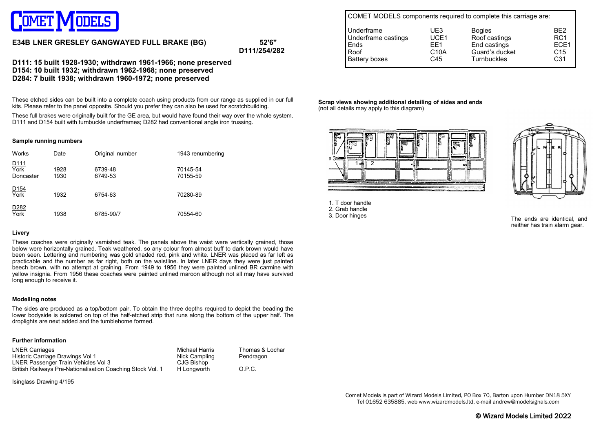

# **E34B LNER GRESLEY GANGWAYED FULL BRAKE (BG) 52'6"**

**D111/254/282**

**D111: 15 built 1928-1930; withdrawn 1961-1966; none preserved D154: 10 built 1932; withdrawn 1962-1968; none preserved D284: 7 built 1938; withdrawn 1960-1972; none preserved**

These etched sides can be built into a complete coach using products from our range as supplied in our full kits. Please refer to the panel opposite. Should you prefer they can also be used for scratchbuilding.

These full brakes were originally built for the GE area, but would have found their way over the whole system. D111 and D154 built with turnbuckle underframes; D282 had conventional angle iron trussing.

#### **Sample running numbers**

| Works                                 | Date         | Original number    | 1943 renumbering     |
|---------------------------------------|--------------|--------------------|----------------------|
| D <sub>111</sub><br>York<br>Doncaster | 1928<br>1930 | 6739-48<br>6749-53 | 70145-54<br>70155-59 |
| $\frac{D154}{\text{York}}$            | 1932         | 6754-63            | 70280-89             |
| D <sub>2</sub> 82<br>York             | 1938         | 6785-90/7          | 70554-60             |

### **Livery**

These coaches were originally varnished teak. The panels above the waist were vertically grained, those below were horizontally grained. Teak weathered, so any colour from almost buff to dark brown would have been seen. Lettering and numbering was gold shaded red, pink and white. LNER was placed as far left as practicable and the number as far right, both on the waistline. In later LNER days they were just painted beech brown, with no attempt at graining. From 1949 to 1956 they were painted unlined BR carmine with yellow insignia. From 1956 these coaches were painted unlined maroon although not all may have survived long enough to receive it.

#### **Modelling notes**

The sides are produced as a top/bottom pair. To obtain the three depths required to depict the beading the lower bodyside is soldered on top of the half-etched strip that runs along the bottom of the upper half. The droplights are next added and the tumblehome formed.

#### **Further information**

| <b>LNER Carriages</b>                                      | Michael Harris | Thomas & Lochar |
|------------------------------------------------------------|----------------|-----------------|
| Historic Carriage Drawings Vol 1                           | Nick Campling  | Pendragon       |
| LNER Passenger Train Vehicles Vol 3                        | CJG Bishop     |                 |
| British Railways Pre-Nationalisation Coaching Stock Vol. 1 | H Longworth    | O.P.C.          |

Isinglass Drawing 4/195

| COMET MODELS components required to complete this carriage are: |                   |                    |                  |  |  |  |  |
|-----------------------------------------------------------------|-------------------|--------------------|------------------|--|--|--|--|
| Underframe                                                      | UF3               | <b>Bogies</b>      | BF <sub>2</sub>  |  |  |  |  |
| Underframe castings                                             | UCE1              | Roof castings      | RC <sub>1</sub>  |  |  |  |  |
| Ends                                                            | FF1               | End castings       | ECE <sub>1</sub> |  |  |  |  |
| Roof                                                            | C <sub>10</sub> A | Guard's ducket     | C <sub>15</sub>  |  |  |  |  |
| Battery boxes                                                   | C45               | <b>Turnbuckles</b> | C <sub>31</sub>  |  |  |  |  |

**Scrap views showing additional detailing of sides and ends** (not all details may apply to this diagram)



1. T door handle 2. Grab handle 3. Door hinges



The ends are identical, and neither has train alarm gear.

Comet Models is part of Wizard Models Limited, PO Box 70, Barton upon Humber DN18 5XY Tel 01652 635885, web www.wizardmodels.ltd, e-mail andrew@modelsignals.com